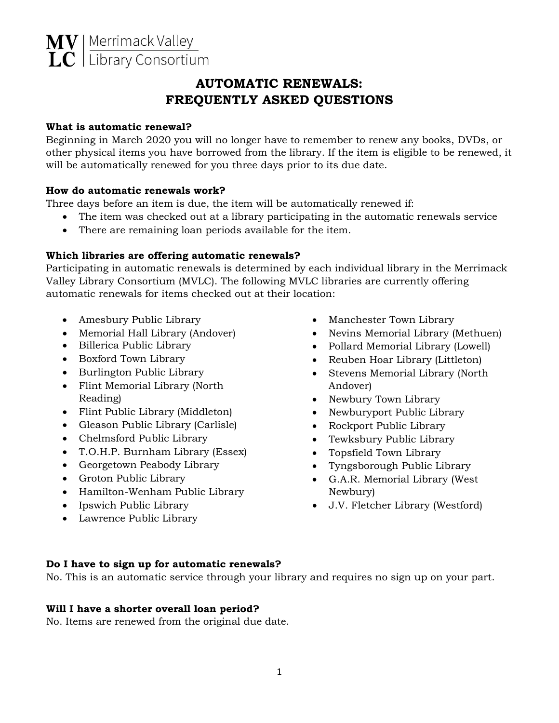# **AUTOMATIC RENEWALS: FREQUENTLY ASKED QUESTIONS**

# **What is automatic renewal?**

Beginning in March 2020 you will no longer have to remember to renew any books, DVDs, or other physical items you have borrowed from the library. If the item is eligible to be renewed, it will be automatically renewed for you three days prior to its due date.

# **How do automatic renewals work?**

Three days before an item is due, the item will be automatically renewed if:

- The item was checked out at a library participating in the automatic renewals service
- There are remaining loan periods available for the item.

# **Which libraries are offering automatic renewals?**

Participating in automatic renewals is determined by each individual library in the Merrimack Valley Library Consortium (MVLC). The following MVLC libraries are currently offering automatic renewals for items checked out at their location:

- Amesbury Public Library
- Memorial Hall Library (Andover)
- Billerica Public Library
- Boxford Town Library
- Burlington Public Library
- Flint Memorial Library (North Reading)
- Flint Public Library (Middleton)
- Gleason Public Library (Carlisle)
- Chelmsford Public Library
- T.O.H.P. Burnham Library (Essex)
- Georgetown Peabody Library
- Groton Public Library
- Hamilton-Wenham Public Library
- Ipswich Public Library
- Lawrence Public Library
- Manchester Town Library
- Nevins Memorial Library (Methuen)
- Pollard Memorial Library (Lowell)
- Reuben Hoar Library (Littleton)
- Stevens Memorial Library (North Andover)
- Newbury Town Library
- Newburyport Public Library
- Rockport Public Library
- Tewksbury Public Library
- Topsfield Town Library
- Tyngsborough Public Library
- G.A.R. Memorial Library (West Newbury)
- J.V. Fletcher Library (Westford)

# **Do I have to sign up for automatic renewals?**

No. This is an automatic service through your library and requires no sign up on your part.

#### **Will I have a shorter overall loan period?**

No. Items are renewed from the original due date.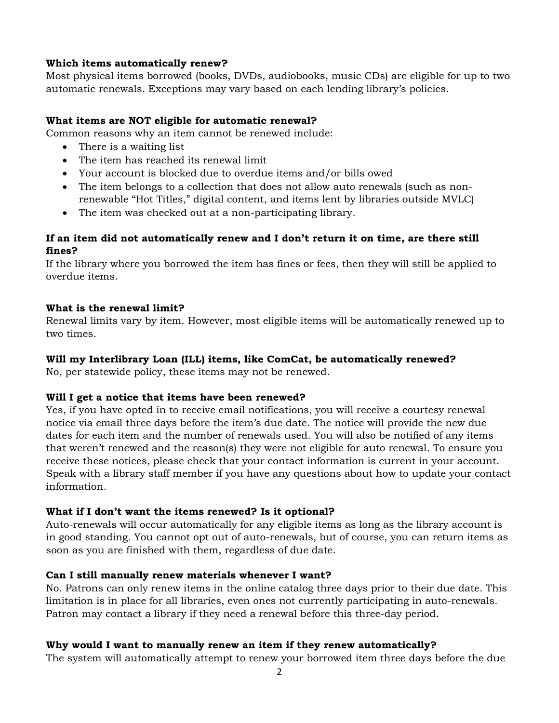#### **Which items automatically renew?**

Most physical items borrowed (books, DVDs, audiobooks, music CDs) are eligible for up to two automatic renewals. Exceptions may vary based on each lending library's policies.

#### **What items are NOT eligible for automatic renewal?**

Common reasons why an item cannot be renewed include:

- There is a waiting list
- The item has reached its renewal limit
- Your account is blocked due to overdue items and/or bills owed
- The item belongs to a collection that does not allow auto renewals (such as nonrenewable "Hot Titles," digital content, and items lent by libraries outside MVLC)
- The item was checked out at a non-participating library.

# **If an item did not automatically renew and I don't return it on time, are there still fines?**

If the library where you borrowed the item has fines or fees, then they will still be applied to overdue items.

#### **What is the renewal limit?**

Renewal limits vary by item. However, most eligible items will be automatically renewed up to two times.

#### **Will my Interlibrary Loan (ILL) items, like ComCat, be automatically renewed?**

No, per statewide policy, these items may not be renewed.

# **Will I get a notice that items have been renewed?**

Yes, if you have opted in to receive email notifications, you will receive a courtesy renewal notice via email three days before the item's due date. The notice will provide the new due dates for each item and the number of renewals used. You will also be notified of any items that weren't renewed and the reason(s) they were not eligible for auto renewal. To ensure you receive these notices, please check that your contact information is current in your account. Speak with a library staff member if you have any questions about how to update your contact information.

# **What if I don't want the items renewed? Is it optional?**

Auto-renewals will occur automatically for any eligible items as long as the library account is in good standing. You cannot opt out of auto-renewals, but of course, you can return items as soon as you are finished with them, regardless of due date.

# **Can I still manually renew materials whenever I want?**

No. Patrons can only renew items in the online catalog three days prior to their due date. This limitation is in place for all libraries, even ones not currently participating in auto-renewals. Patron may contact a library if they need a renewal before this three-day period.

# **Why would I want to manually renew an item if they renew automatically?**

The system will automatically attempt to renew your borrowed item three days before the due